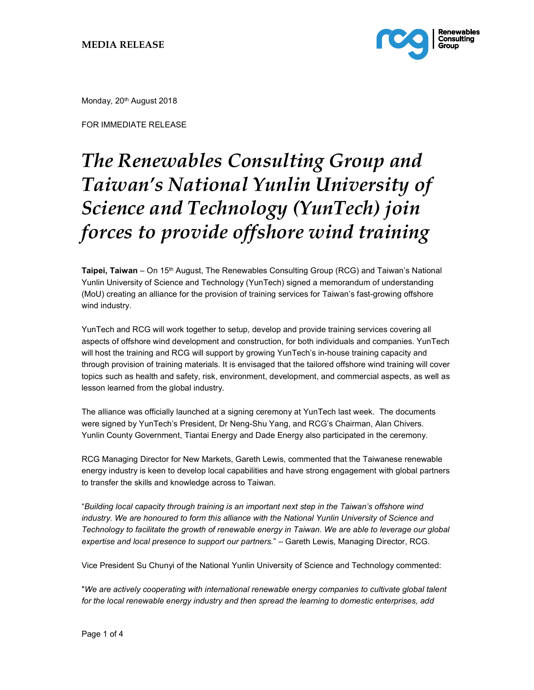

Monday, 20<sup>th</sup> August 2018

FOR IMMEDIATE RELEASE

## The Renewables Consulting Group and Taiwan's National Yunlin University of Science and Technology (YunTech) join forces to provide offshore wind training

Taipei, Taiwan – On 15<sup>th</sup> August, The Renewables Consulting Group (RCG) and Taiwan's National Yunlin University of Science and Technology (YunTech) signed a memorandum of understanding (MoU) creating an alliance for the provision of training services for Taiwan's fast-growing offshore wind industry.

YunTech and RCG will work together to setup, develop and provide training services covering all aspects of offshore wind development and construction, for both individuals and companies. YunTech will host the training and RCG will support by growing YunTech's in-house training capacity and through provision of training materials. It is envisaged that the tailored offshore wind training will cover topics such as health and safety, risk, environment, development, and commercial aspects, as well as lesson learned from the global industry.

The alliance was officially launched at a signing ceremony at YunTech last week. The documents were signed by YunTech's President, Dr Neng-Shu Yang, and RCG's Chairman, Alan Chivers. Yunlin County Government, Tiantai Energy and Dade Energy also participated in the ceremony.

RCG Managing Director for New Markets, Gareth Lewis, commented that the Taiwanese renewable energy industry is keen to develop local capabilities and have strong engagement with global partners to transfer the skills and knowledge across to Taiwan.

"Building local capacity through training is an important next step in the Taiwan's offshore wind industry. We are honoured to form this alliance with the National Yunlin University of Science and Technology to facilitate the growth of renewable energy in Taiwan. We are able to leverage our global expertise and local presence to support our partners." - Gareth Lewis, Managing Director, RCG.

Vice President Su Chunyi of the National Yunlin University of Science and Technology commented:

"We are actively cooperating with international renewable energy companies to cultivate global talent for the local renewable energy industry and then spread the learning to domestic enterprises, add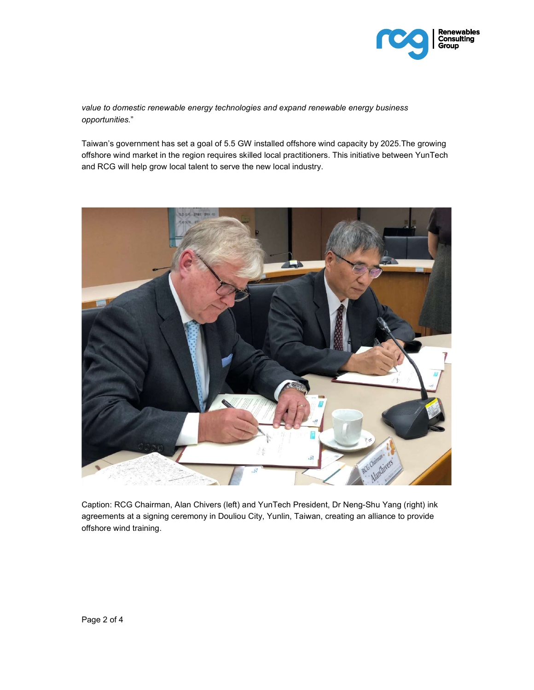

value to domestic renewable energy technologies and expand renewable energy business opportunities."

Taiwan's government has set a goal of 5.5 GW installed offshore wind capacity by 2025.The growing offshore wind market in the region requires skilled local practitioners. This initiative between YunTech and RCG will help grow local talent to serve the new local industry.



Caption: RCG Chairman, Alan Chivers (left) and YunTech President, Dr Neng-Shu Yang (right) ink agreements at a signing ceremony in Douliou City, Yunlin, Taiwan, creating an alliance to provide offshore wind training.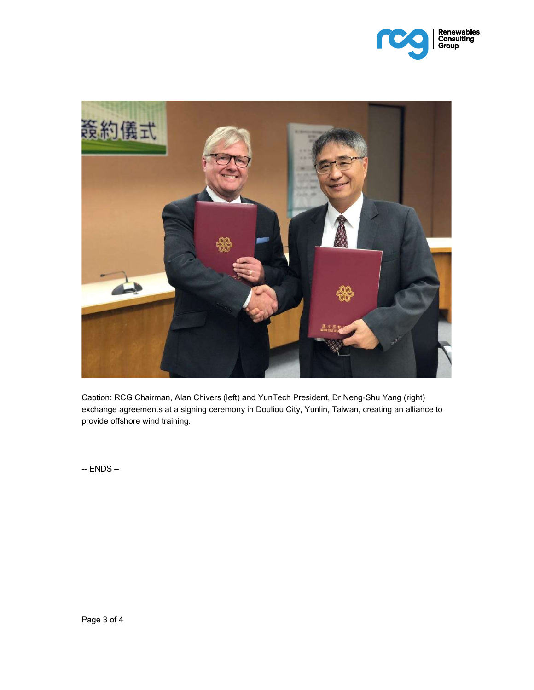



Caption: RCG Chairman, Alan Chivers (left) and YunTech President, Dr Neng-Shu Yang (right) exchange agreements at a signing ceremony in Douliou City, Yunlin, Taiwan, creating an alliance to provide offshore wind training.

-- ENDS –